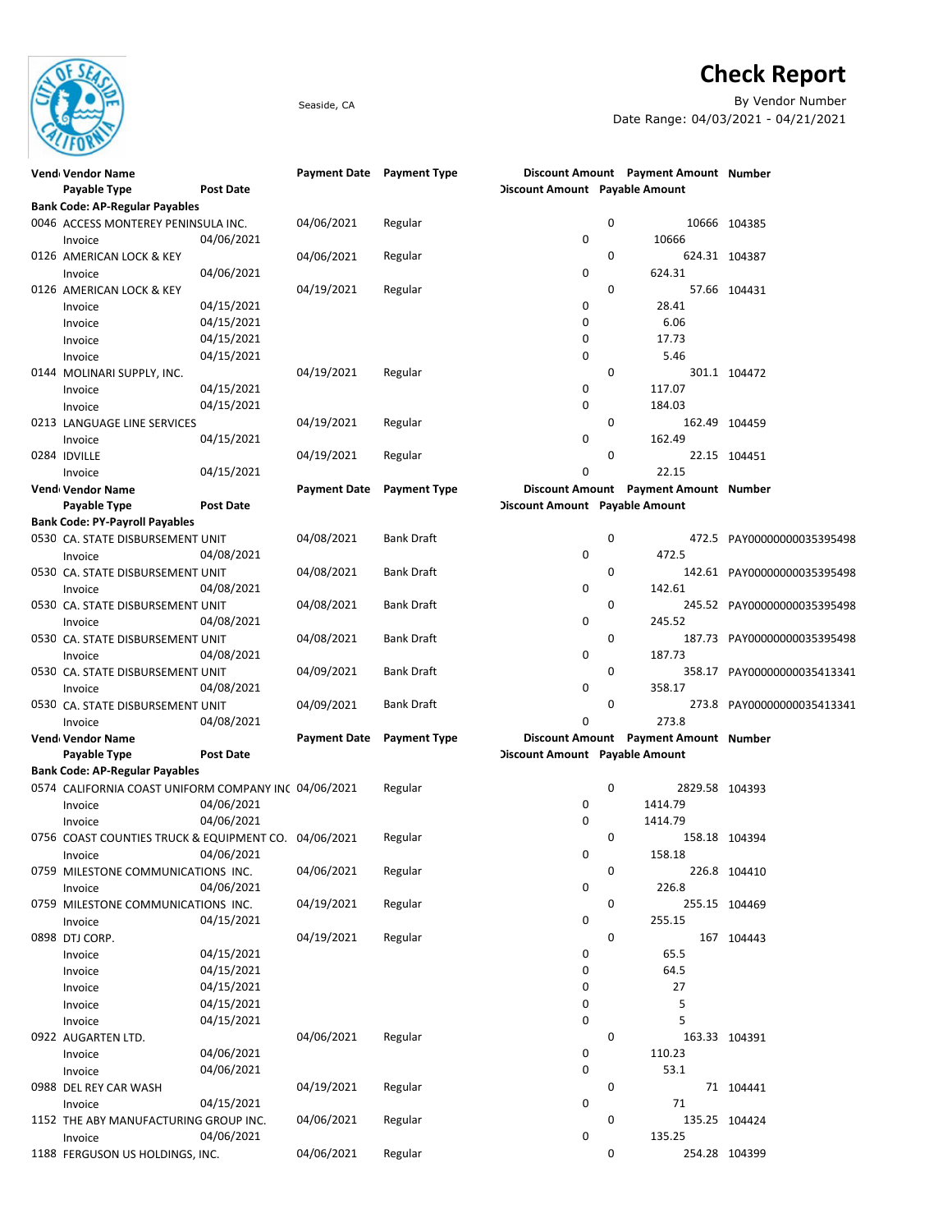

## **Check Report**

Seaside, CA By Vendor Number Date Range: 04/03/2021 - 04/21/2021

| Vend Vendor Name                                     |                  | Payment Date Payment Type |                     |                                       | Discount Amount Payment Amount Number |                             |
|------------------------------------------------------|------------------|---------------------------|---------------------|---------------------------------------|---------------------------------------|-----------------------------|
| Payable Type                                         | <b>Post Date</b> |                           |                     | Discount Amount Payable Amount        |                                       |                             |
| <b>Bank Code: AP-Regular Payables</b>                |                  |                           |                     |                                       |                                       |                             |
| 0046 ACCESS MONTEREY PENINSULA INC.                  |                  | 04/06/2021                | Regular             | 0                                     |                                       | 10666 104385                |
| Invoice                                              | 04/06/2021       |                           |                     | 0                                     | 10666                                 |                             |
| 0126 AMERICAN LOCK & KEY                             |                  | 04/06/2021                | Regular             | 0                                     |                                       | 624.31 104387               |
| Invoice                                              | 04/06/2021       |                           |                     | 0                                     | 624.31                                |                             |
| 0126 AMERICAN LOCK & KEY                             |                  | 04/19/2021                | Regular             | 0                                     |                                       | 57.66 104431                |
| Invoice                                              | 04/15/2021       |                           |                     | 0                                     | 28.41                                 |                             |
| Invoice                                              | 04/15/2021       |                           |                     | 0                                     | 6.06                                  |                             |
| Invoice                                              | 04/15/2021       |                           |                     | 0                                     | 17.73                                 |                             |
| Invoice                                              | 04/15/2021       |                           |                     | 0                                     | 5.46                                  |                             |
| 0144 MOLINARI SUPPLY, INC.                           |                  | 04/19/2021                | Regular             | 0                                     |                                       | 301.1 104472                |
|                                                      | 04/15/2021       |                           |                     | 0                                     | 117.07                                |                             |
| Invoice                                              | 04/15/2021       |                           |                     | 0                                     | 184.03                                |                             |
| Invoice                                              |                  |                           |                     | 0                                     |                                       |                             |
| 0213 LANGUAGE LINE SERVICES                          |                  | 04/19/2021                | Regular             |                                       |                                       | 162.49 104459               |
| Invoice                                              | 04/15/2021       |                           |                     | 0                                     | 162.49                                |                             |
| 0284 IDVILLE                                         |                  | 04/19/2021                | Regular             | 0                                     |                                       | 22.15 104451                |
| Invoice                                              | 04/15/2021       |                           |                     | 0                                     | 22.15                                 |                             |
| Vend Vendor Name                                     |                  | <b>Payment Date</b>       | <b>Payment Type</b> |                                       | Discount Amount Payment Amount Number |                             |
| Payable Type                                         | <b>Post Date</b> |                           |                     | <b>Discount Amount</b> Payable Amount |                                       |                             |
| <b>Bank Code: PY-Payroll Payables</b>                |                  |                           |                     |                                       |                                       |                             |
| 0530 CA. STATE DISBURSEMENT UNIT                     |                  | 04/08/2021                | <b>Bank Draft</b>   | 0                                     |                                       | 472.5 PAY00000000035395498  |
| Invoice                                              | 04/08/2021       |                           |                     | 0                                     | 472.5                                 |                             |
| 0530 CA. STATE DISBURSEMENT UNIT                     |                  | 04/08/2021                | <b>Bank Draft</b>   | 0                                     |                                       | 142.61 PAY00000000035395498 |
| Invoice                                              | 04/08/2021       |                           |                     | 0                                     | 142.61                                |                             |
| 0530 CA. STATE DISBURSEMENT UNIT                     |                  | 04/08/2021                | <b>Bank Draft</b>   | 0                                     |                                       | 245.52 PAY00000000035395498 |
| Invoice                                              | 04/08/2021       |                           |                     | 0                                     | 245.52                                |                             |
| 0530 CA. STATE DISBURSEMENT UNIT                     |                  | 04/08/2021                | <b>Bank Draft</b>   | 0                                     |                                       | 187.73 PAY00000000035395498 |
| Invoice                                              | 04/08/2021       |                           |                     | 0                                     | 187.73                                |                             |
| 0530 CA. STATE DISBURSEMENT UNIT                     |                  | 04/09/2021                | <b>Bank Draft</b>   | 0                                     |                                       | 358.17 PAY00000000035413341 |
| Invoice                                              | 04/08/2021       |                           |                     | 0                                     | 358.17                                |                             |
| 0530 CA. STATE DISBURSEMENT UNIT                     |                  | 04/09/2021                | Bank Draft          | 0                                     |                                       | 273.8 PAY00000000035413341  |
|                                                      |                  |                           |                     | 0                                     | 273.8                                 |                             |
| Invoice                                              | 04/08/2021       |                           |                     |                                       | Discount Amount Payment Amount Number |                             |
| Vend Vendor Name                                     | <b>Post Date</b> | <b>Payment Date</b>       | <b>Payment Type</b> |                                       |                                       |                             |
| Payable Type                                         |                  |                           |                     | Discount Amount Payable Amount        |                                       |                             |
| <b>Bank Code: AP-Regular Payables</b>                |                  |                           |                     |                                       |                                       |                             |
| 0574 CALIFORNIA COAST UNIFORM COMPANY INC 04/06/2021 |                  |                           | Regular             | 0                                     | 2829.58 104393                        |                             |
| Invoice                                              | 04/06/2021       |                           |                     | 0                                     | 1414.79                               |                             |
| Invoice                                              | 04/06/2021       |                           |                     | $\mathbf 0$                           | 1414.79                               |                             |
| 0756 COAST COUNTIES TRUCK & EQUIPMENT CO. 04/06/2021 |                  |                           | Regular             | 0                                     |                                       | 158.18 104394               |
| Invoice                                              | 04/06/2021       |                           |                     | 0                                     | 158.18                                |                             |
| 0759 MILESTONE COMMUNICATIONS INC.                   |                  | 04/06/2021                | Regular             | 0                                     |                                       | 226.8 104410                |
| Invoice                                              | 04/06/2021       |                           |                     | 0                                     | 226.8                                 |                             |
| 0759 MILESTONE COMMUNICATIONS INC.                   |                  | 04/19/2021                | Regular             | 0                                     |                                       | 255.15 104469               |
| Invoice                                              | 04/15/2021       |                           |                     | 0                                     | 255.15                                |                             |
| 0898 DTJ CORP.                                       |                  | 04/19/2021                | Regular             | 0                                     |                                       | 167 104443                  |
| Invoice                                              | 04/15/2021       |                           |                     | 0                                     | 65.5                                  |                             |
| Invoice                                              | 04/15/2021       |                           |                     | 0                                     | 64.5                                  |                             |
| Invoice                                              | 04/15/2021       |                           |                     | 0                                     | 27                                    |                             |
| Invoice                                              | 04/15/2021       |                           |                     | 0                                     | 5                                     |                             |
| Invoice                                              | 04/15/2021       |                           |                     | 0                                     | 5                                     |                             |
| 0922 AUGARTEN LTD.                                   |                  | 04/06/2021                | Regular             | 0                                     |                                       | 163.33 104391               |
| Invoice                                              | 04/06/2021       |                           |                     | 0                                     | 110.23                                |                             |
|                                                      | 04/06/2021       |                           |                     | 0                                     | 53.1                                  |                             |
| Invoice<br>0988 DEL REY CAR WASH                     |                  | 04/19/2021                | Regular             | 0                                     |                                       | 71 104441                   |
|                                                      |                  |                           |                     |                                       | 71                                    |                             |
| Invoice                                              | 04/15/2021       |                           |                     | 0                                     |                                       |                             |
| 1152 THE ABY MANUFACTURING GROUP INC.                |                  | 04/06/2021                | Regular             | 0                                     |                                       | 135.25 104424               |
| Invoice                                              | 04/06/2021       |                           |                     | 0                                     | 135.25                                |                             |
| 1188 FERGUSON US HOLDINGS, INC.                      |                  | 04/06/2021                | Regular             | 0                                     |                                       | 254.28 104399               |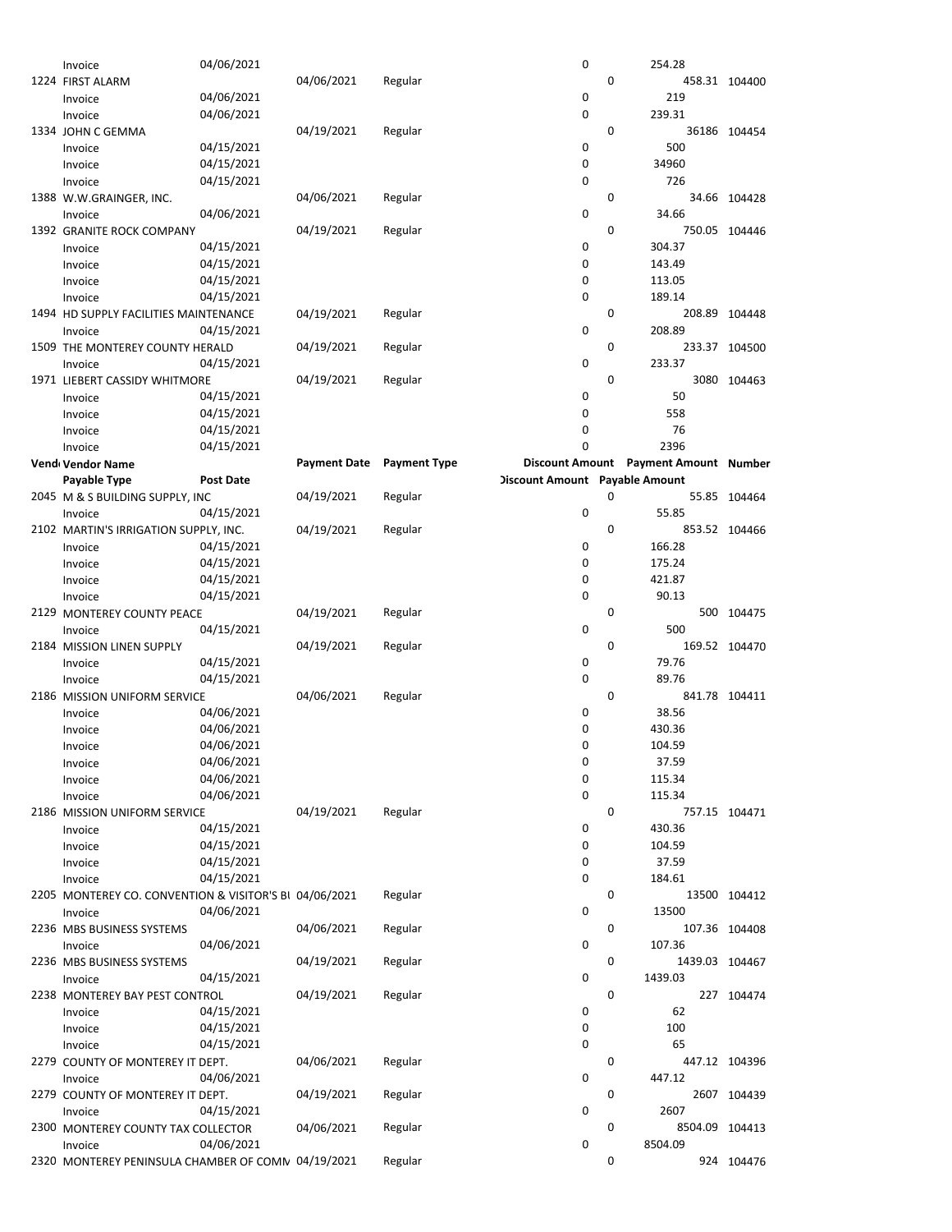| Invoice                                                | 04/06/2021       |                     |                     | 0                              |   | 254.28                                |               |
|--------------------------------------------------------|------------------|---------------------|---------------------|--------------------------------|---|---------------------------------------|---------------|
| 1224 FIRST ALARM                                       |                  | 04/06/2021          | Regular             |                                | 0 |                                       | 458.31 104400 |
| Invoice                                                | 04/06/2021       |                     |                     | 0                              |   | 219                                   |               |
| Invoice                                                | 04/06/2021       |                     |                     | $\mathbf 0$                    |   | 239.31                                |               |
| 1334 JOHN C GEMMA                                      |                  | 04/19/2021          | Regular             |                                | 0 |                                       | 36186 104454  |
| Invoice                                                | 04/15/2021       |                     |                     | 0                              |   | 500                                   |               |
| Invoice                                                | 04/15/2021       |                     |                     | 0                              |   | 34960                                 |               |
| Invoice                                                | 04/15/2021       |                     |                     | 0                              |   | 726                                   |               |
| 1388 W.W.GRAINGER, INC.                                |                  | 04/06/2021          | Regular             |                                | 0 |                                       | 34.66 104428  |
| Invoice                                                | 04/06/2021       |                     |                     | 0                              |   | 34.66                                 |               |
| 1392 GRANITE ROCK COMPANY                              |                  | 04/19/2021          | Regular             |                                | 0 |                                       | 750.05 104446 |
| Invoice                                                | 04/15/2021       |                     |                     | 0                              |   | 304.37                                |               |
|                                                        | 04/15/2021       |                     |                     | 0                              |   | 143.49                                |               |
| Invoice                                                | 04/15/2021       |                     |                     | 0                              |   |                                       |               |
| Invoice                                                | 04/15/2021       |                     |                     | 0                              |   | 113.05<br>189.14                      |               |
| Invoice                                                |                  |                     |                     |                                |   |                                       |               |
| 1494 HD SUPPLY FACILITIES MAINTENANCE                  |                  | 04/19/2021          | Regular             | 0                              | 0 |                                       | 208.89 104448 |
| Invoice                                                | 04/15/2021       |                     |                     |                                |   | 208.89                                |               |
| 1509 THE MONTEREY COUNTY HERALD                        |                  | 04/19/2021          | Regular             |                                | 0 |                                       | 233.37 104500 |
| Invoice                                                | 04/15/2021       |                     |                     | 0                              |   | 233.37                                |               |
| 1971 LIEBERT CASSIDY WHITMORE                          |                  | 04/19/2021          | Regular             |                                | 0 |                                       | 3080 104463   |
| Invoice                                                | 04/15/2021       |                     |                     | 0                              |   | 50                                    |               |
| Invoice                                                | 04/15/2021       |                     |                     | 0                              |   | 558                                   |               |
| Invoice                                                | 04/15/2021       |                     |                     | 0                              |   | 76                                    |               |
| Invoice                                                | 04/15/2021       |                     |                     | 0                              |   | 2396                                  |               |
| Vend Vendor Name                                       |                  | <b>Payment Date</b> | <b>Payment Type</b> |                                |   | Discount Amount Payment Amount Number |               |
| Payable Type                                           | <b>Post Date</b> |                     |                     | Discount Amount Payable Amount |   |                                       |               |
| 2045 M & S BUILDING SUPPLY, INC                        |                  | 04/19/2021          | Regular             |                                | 0 |                                       | 55.85 104464  |
| Invoice                                                | 04/15/2021       |                     |                     | 0                              |   | 55.85                                 |               |
| 2102 MARTIN'S IRRIGATION SUPPLY, INC.                  |                  | 04/19/2021          | Regular             |                                | 0 |                                       | 853.52 104466 |
| Invoice                                                | 04/15/2021       |                     |                     | 0                              |   | 166.28                                |               |
| Invoice                                                | 04/15/2021       |                     |                     | 0                              |   | 175.24                                |               |
| Invoice                                                | 04/15/2021       |                     |                     | 0                              |   | 421.87                                |               |
| Invoice                                                | 04/15/2021       |                     |                     | 0                              |   | 90.13                                 |               |
| 2129 MONTEREY COUNTY PEACE                             |                  | 04/19/2021          | Regular             |                                | 0 |                                       | 500 104475    |
| Invoice                                                | 04/15/2021       |                     |                     | 0                              |   | 500                                   |               |
| 2184 MISSION LINEN SUPPLY                              |                  | 04/19/2021          | Regular             |                                | 0 |                                       | 169.52 104470 |
| Invoice                                                | 04/15/2021       |                     |                     | 0                              |   | 79.76                                 |               |
|                                                        | 04/15/2021       |                     |                     | 0                              |   | 89.76                                 |               |
| Invoice                                                |                  |                     |                     |                                | 0 |                                       |               |
| 2186 MISSION UNIFORM SERVICE                           |                  | 04/06/2021          | Regular             |                                |   |                                       | 841.78 104411 |
| Invoice                                                | 04/06/2021       |                     |                     | 0                              |   | 38.56                                 |               |
| Invoice                                                | 04/06/2021       |                     |                     | 0                              |   | 430.36                                |               |
| Invoice                                                | 04/06/2021       |                     |                     | 0                              |   | 104.59                                |               |
| Invoice                                                | 04/06/2021       |                     |                     | 0                              |   | 37.59                                 |               |
| Invoice                                                | 04/06/2021       |                     |                     | 0                              |   | 115.34                                |               |
| Invoice                                                | 04/06/2021       |                     |                     | 0                              |   | 115.34                                |               |
| 2186 MISSION UNIFORM SERVICE                           |                  | 04/19/2021          | Regular             |                                | 0 |                                       | 757.15 104471 |
| Invoice                                                | 04/15/2021       |                     |                     | 0                              |   | 430.36                                |               |
| Invoice                                                | 04/15/2021       |                     |                     | 0                              |   | 104.59                                |               |
| Invoice                                                | 04/15/2021       |                     |                     | 0                              |   | 37.59                                 |               |
| Invoice                                                | 04/15/2021       |                     |                     | 0                              |   | 184.61                                |               |
| 2205 MONTEREY CO. CONVENTION & VISITOR'S BI 04/06/2021 |                  |                     | Regular             |                                | 0 |                                       | 13500 104412  |
| Invoice                                                | 04/06/2021       |                     |                     | 0                              |   | 13500                                 |               |
| 2236 MBS BUSINESS SYSTEMS                              |                  | 04/06/2021          | Regular             |                                | 0 |                                       | 107.36 104408 |
| Invoice                                                | 04/06/2021       |                     |                     | 0                              |   | 107.36                                |               |
| 2236 MBS BUSINESS SYSTEMS                              |                  | 04/19/2021          | Regular             |                                | 0 | 1439.03 104467                        |               |
| Invoice                                                | 04/15/2021       |                     |                     | 0                              |   | 1439.03                               |               |
| 2238 MONTEREY BAY PEST CONTROL                         |                  | 04/19/2021          | Regular             |                                | 0 |                                       | 227 104474    |
| Invoice                                                | 04/15/2021       |                     |                     | 0                              |   | 62                                    |               |
| Invoice                                                | 04/15/2021       |                     |                     | 0                              |   | 100                                   |               |
| Invoice                                                | 04/15/2021       |                     |                     | 0                              |   | 65                                    |               |
| 2279 COUNTY OF MONTEREY IT DEPT.                       |                  | 04/06/2021          | Regular             |                                | 0 |                                       | 447.12 104396 |
| Invoice                                                | 04/06/2021       |                     |                     | 0                              |   | 447.12                                |               |
| 2279 COUNTY OF MONTEREY IT DEPT.                       |                  | 04/19/2021          | Regular             |                                | 0 |                                       | 2607 104439   |
| Invoice                                                | 04/15/2021       |                     |                     | 0                              |   | 2607                                  |               |
| 2300 MONTEREY COUNTY TAX COLLECTOR                     |                  | 04/06/2021          | Regular             |                                | 0 | 8504.09 104413                        |               |
| Invoice                                                | 04/06/2021       |                     |                     | 0                              |   | 8504.09                               |               |
| 2320 MONTEREY PENINSULA CHAMBER OF COMN 04/19/2021     |                  |                     | Regular             |                                | 0 |                                       | 924 104476    |
|                                                        |                  |                     |                     |                                |   |                                       |               |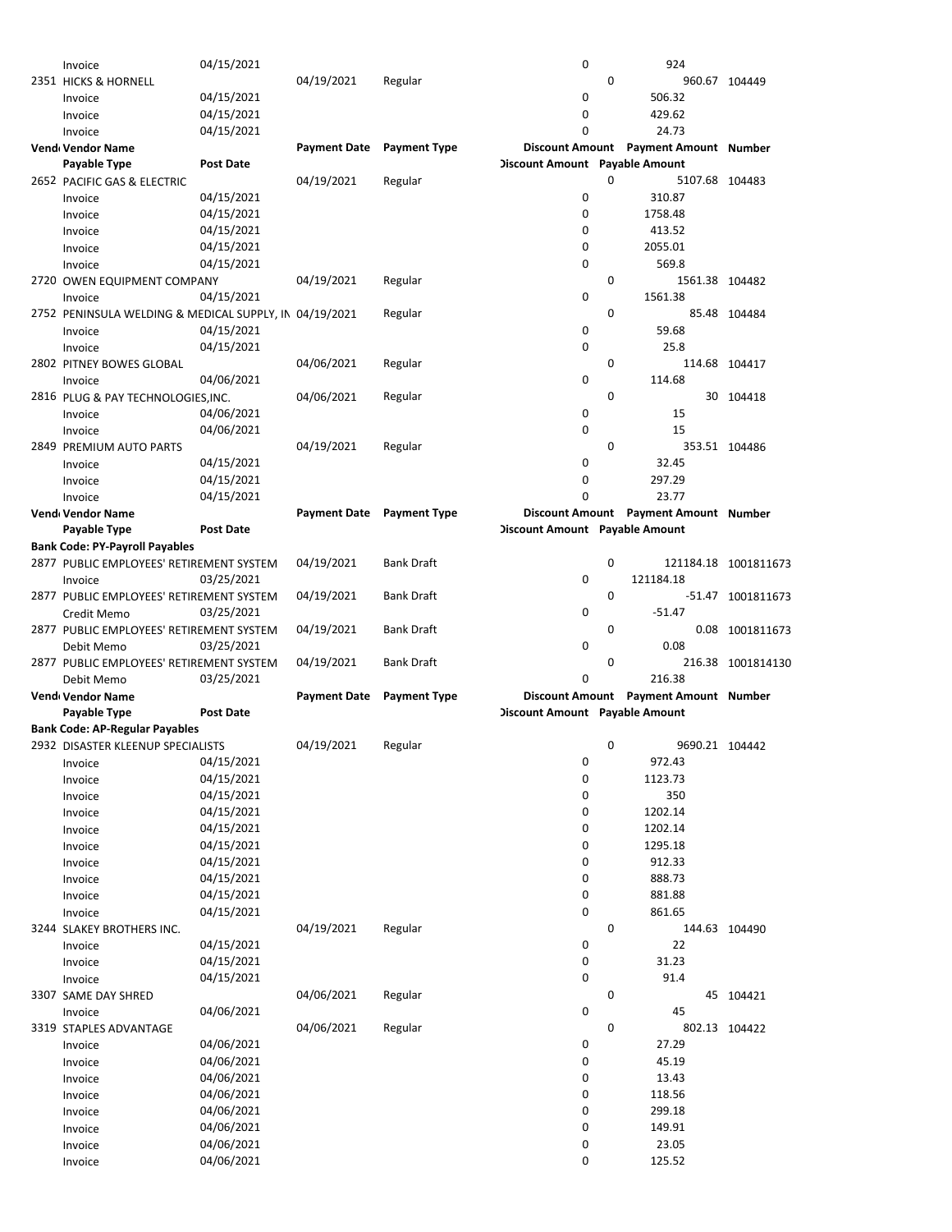| Invoice                                                | 04/15/2021               |                     |                     | 0                              |   | 924                                   |                      |
|--------------------------------------------------------|--------------------------|---------------------|---------------------|--------------------------------|---|---------------------------------------|----------------------|
| 2351 HICKS & HORNELL                                   |                          | 04/19/2021          | Regular             |                                | 0 |                                       | 960.67 104449        |
| Invoice                                                | 04/15/2021               |                     |                     | 0                              |   | 506.32                                |                      |
| Invoice                                                | 04/15/2021               |                     |                     | 0                              |   | 429.62                                |                      |
| Invoice                                                | 04/15/2021               |                     |                     | 0                              |   | 24.73                                 |                      |
| Vend Vendor Name                                       |                          | <b>Payment Date</b> | <b>Payment Type</b> |                                |   | Discount Amount Payment Amount Number |                      |
| Payable Type                                           | <b>Post Date</b>         |                     |                     | Discount Amount Payable Amount |   |                                       |                      |
|                                                        |                          |                     |                     |                                |   |                                       |                      |
| 2652 PACIFIC GAS & ELECTRIC                            |                          | 04/19/2021          | Regular             |                                | 0 | 5107.68 104483                        |                      |
| Invoice                                                | 04/15/2021               |                     |                     | 0                              |   | 310.87                                |                      |
| Invoice                                                | 04/15/2021               |                     |                     | 0                              |   | 1758.48                               |                      |
| Invoice                                                | 04/15/2021               |                     |                     | 0                              |   | 413.52                                |                      |
| Invoice                                                | 04/15/2021               |                     |                     | 0                              |   | 2055.01                               |                      |
| Invoice                                                | 04/15/2021               |                     |                     | 0                              |   | 569.8                                 |                      |
| 2720 OWEN EQUIPMENT COMPANY                            |                          | 04/19/2021          | Regular             |                                | 0 | 1561.38 104482                        |                      |
| Invoice                                                | 04/15/2021               |                     |                     | 0                              |   | 1561.38                               |                      |
| 2752 PENINSULA WELDING & MEDICAL SUPPLY, IN 04/19/2021 |                          |                     | Regular             |                                | 0 |                                       | 85.48 104484         |
|                                                        | 04/15/2021               |                     |                     | 0                              |   | 59.68                                 |                      |
| Invoice                                                |                          |                     |                     |                                |   |                                       |                      |
| Invoice                                                | 04/15/2021               |                     |                     | 0                              |   | 25.8                                  |                      |
| 2802 PITNEY BOWES GLOBAL                               |                          | 04/06/2021          | Regular             |                                | 0 |                                       | 114.68 104417        |
| Invoice                                                | 04/06/2021               |                     |                     | 0                              |   | 114.68                                |                      |
| 2816 PLUG & PAY TECHNOLOGIES.INC.                      |                          | 04/06/2021          | Regular             |                                | 0 |                                       | 30 104418            |
| Invoice                                                | 04/06/2021               |                     |                     | 0                              |   | 15                                    |                      |
| Invoice                                                | 04/06/2021               |                     |                     | 0                              |   | 15                                    |                      |
| 2849 PREMIUM AUTO PARTS                                |                          | 04/19/2021          | Regular             |                                | 0 |                                       | 353.51 104486        |
| Invoice                                                | 04/15/2021               |                     |                     | 0                              |   | 32.45                                 |                      |
| Invoice                                                | 04/15/2021               |                     |                     | 0                              |   | 297.29                                |                      |
| Invoice                                                | 04/15/2021               |                     |                     | 0                              |   | 23.77                                 |                      |
| Vend Vendor Name                                       |                          | <b>Payment Date</b> | <b>Payment Type</b> |                                |   | Discount Amount Payment Amount Number |                      |
|                                                        |                          |                     |                     |                                |   |                                       |                      |
| Payable Type                                           | <b>Post Date</b>         |                     |                     | Discount Amount Payable Amount |   |                                       |                      |
| <b>Bank Code: PY-Payroll Payables</b>                  |                          |                     |                     |                                |   |                                       |                      |
| 2877 PUBLIC EMPLOYEES' RETIREMENT SYSTEM               |                          | 04/19/2021          | <b>Bank Draft</b>   |                                | 0 |                                       | 121184.18 1001811673 |
| Invoice                                                | 03/25/2021               |                     |                     | 0                              |   | 121184.18                             |                      |
| 2877 PUBLIC EMPLOYEES' RETIREMENT SYSTEM               |                          | 04/19/2021          | Bank Draft          |                                | 0 |                                       | -51.47 1001811673    |
|                                                        |                          |                     |                     |                                |   |                                       |                      |
| Credit Memo                                            | 03/25/2021               |                     |                     | 0                              |   | $-51.47$                              |                      |
| 2877 PUBLIC EMPLOYEES' RETIREMENT SYSTEM               |                          | 04/19/2021          | Bank Draft          |                                | 0 |                                       | 0.08 1001811673      |
| Debit Memo                                             | 03/25/2021               |                     |                     | 0                              |   | 0.08                                  |                      |
|                                                        |                          |                     | Bank Draft          |                                | 0 |                                       |                      |
| 2877 PUBLIC EMPLOYEES' RETIREMENT SYSTEM               |                          | 04/19/2021          |                     | $\Omega$                       |   |                                       | 216.38 1001814130    |
| Debit Memo                                             | 03/25/2021               |                     |                     |                                |   | 216.38                                |                      |
| Vend Vendor Name                                       |                          | <b>Payment Date</b> | <b>Payment Type</b> |                                |   | Discount Amount Payment Amount Number |                      |
| Payable Type                                           | <b>Post Date</b>         |                     |                     | Discount Amount Payable Amount |   |                                       |                      |
| <b>Bank Code: AP-Regular Payables</b>                  |                          |                     |                     |                                |   |                                       |                      |
| 2932 DISASTER KLEENUP SPECIALISTS                      |                          | 04/19/2021          | Regular             |                                | 0 | 9690.21 104442                        |                      |
| Invoice                                                | 04/15/2021               |                     |                     | 0                              |   | 972.43                                |                      |
| Invoice                                                | 04/15/2021               |                     |                     | 0                              |   | 1123.73                               |                      |
| Invoice                                                | 04/15/2021               |                     |                     | 0                              |   | 350                                   |                      |
| Invoice                                                | 04/15/2021               |                     |                     | 0                              |   | 1202.14                               |                      |
| Invoice                                                | 04/15/2021               |                     |                     | 0                              |   | 1202.14                               |                      |
| Invoice                                                | 04/15/2021               |                     |                     | 0                              |   | 1295.18                               |                      |
|                                                        |                          |                     |                     |                                |   |                                       |                      |
| Invoice                                                | 04/15/2021               |                     |                     | 0                              |   | 912.33                                |                      |
| Invoice                                                | 04/15/2021               |                     |                     | 0                              |   | 888.73                                |                      |
| Invoice                                                | 04/15/2021               |                     |                     | 0                              |   | 881.88                                |                      |
| Invoice                                                | 04/15/2021               |                     |                     | 0                              |   | 861.65                                |                      |
| 3244 SLAKEY BROTHERS INC.                              |                          | 04/19/2021          | Regular             |                                | 0 |                                       | 144.63 104490        |
| Invoice                                                | 04/15/2021               |                     |                     | 0                              |   | 22                                    |                      |
| Invoice                                                | 04/15/2021               |                     |                     | 0                              |   | 31.23                                 |                      |
| Invoice                                                | 04/15/2021               |                     |                     | 0                              |   | 91.4                                  |                      |
| 3307 SAME DAY SHRED                                    |                          | 04/06/2021          | Regular             |                                | 0 |                                       | 45 104421            |
| Invoice                                                | 04/06/2021               |                     |                     | 0                              |   | 45                                    |                      |
| 3319 STAPLES ADVANTAGE                                 |                          | 04/06/2021          | Regular             |                                | 0 |                                       | 802.13 104422        |
|                                                        |                          |                     |                     |                                |   |                                       |                      |
| Invoice                                                | 04/06/2021               |                     |                     | 0                              |   | 27.29                                 |                      |
| Invoice                                                | 04/06/2021               |                     |                     | 0                              |   | 45.19                                 |                      |
| Invoice                                                | 04/06/2021               |                     |                     | 0                              |   | 13.43                                 |                      |
| Invoice                                                | 04/06/2021               |                     |                     | 0                              |   | 118.56                                |                      |
| Invoice                                                | 04/06/2021               |                     |                     | 0                              |   | 299.18                                |                      |
| Invoice                                                | 04/06/2021               |                     |                     | 0                              |   | 149.91                                |                      |
| Invoice                                                | 04/06/2021<br>04/06/2021 |                     |                     | 0<br>0                         |   | 23.05<br>125.52                       |                      |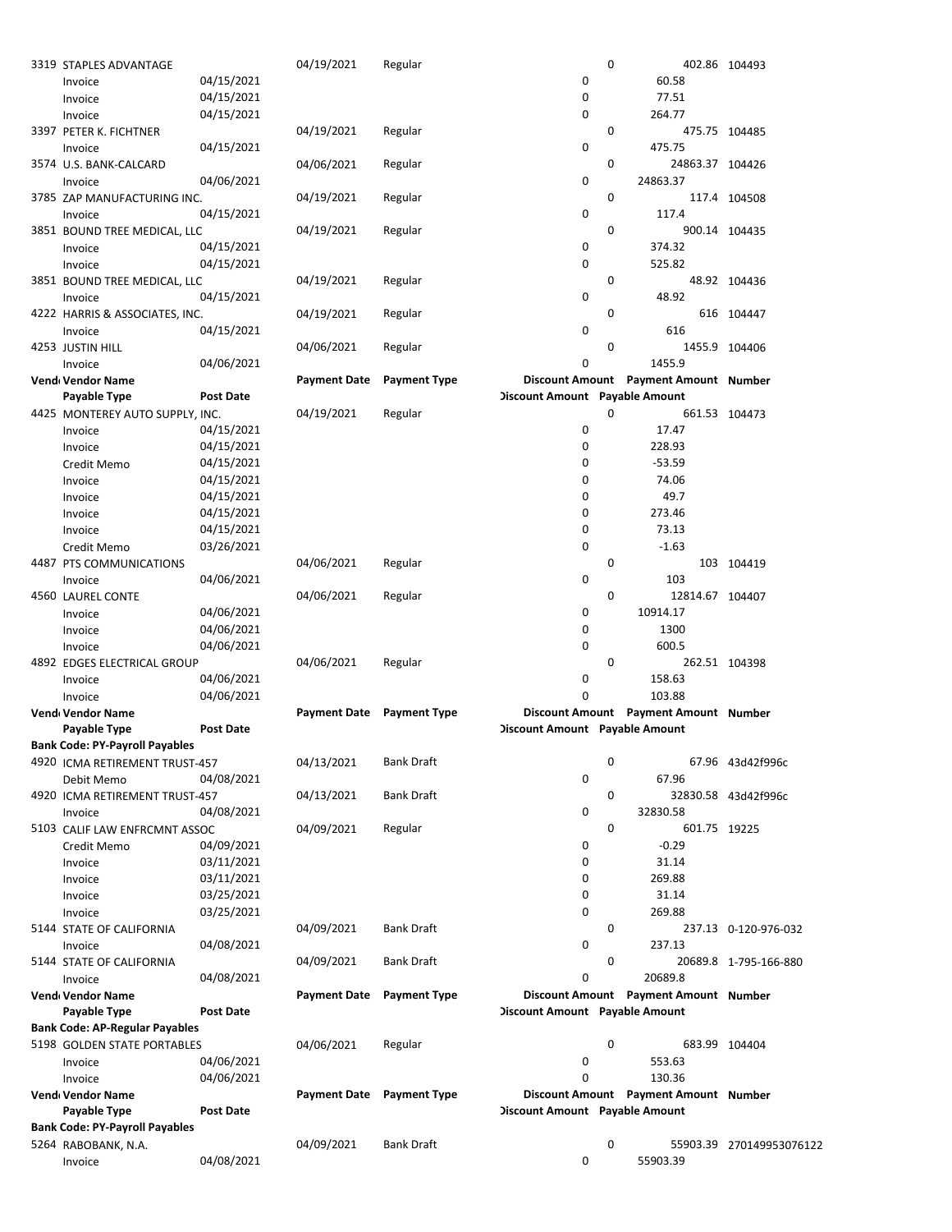| 3319 STAPLES ADVANTAGE                |                  | 04/19/2021          | Regular                          |                                | 0 |                                       | 402.86 104493            |
|---------------------------------------|------------------|---------------------|----------------------------------|--------------------------------|---|---------------------------------------|--------------------------|
| Invoice                               | 04/15/2021       |                     |                                  | 0                              |   | 60.58                                 |                          |
| Invoice                               | 04/15/2021       |                     |                                  | 0                              |   | 77.51                                 |                          |
| Invoice                               | 04/15/2021       |                     |                                  | 0                              |   | 264.77                                |                          |
|                                       |                  |                     |                                  |                                |   |                                       |                          |
| 3397 PETER K. FICHTNER                |                  | 04/19/2021          | Regular                          |                                | 0 |                                       | 475.75 104485            |
| Invoice                               | 04/15/2021       |                     |                                  | 0                              |   | 475.75                                |                          |
| 3574 U.S. BANK-CALCARD                |                  | 04/06/2021          | Regular                          |                                | 0 | 24863.37 104426                       |                          |
| Invoice                               | 04/06/2021       |                     |                                  | 0                              |   | 24863.37                              |                          |
| 3785 ZAP MANUFACTURING INC.           |                  | 04/19/2021          | Regular                          |                                | 0 |                                       | 117.4 104508             |
| Invoice                               | 04/15/2021       |                     |                                  | 0                              |   | 117.4                                 |                          |
| 3851 BOUND TREE MEDICAL, LLC          |                  | 04/19/2021          | Regular                          |                                | 0 |                                       | 900.14 104435            |
| Invoice                               | 04/15/2021       |                     |                                  | 0                              |   | 374.32                                |                          |
|                                       |                  |                     |                                  |                                |   |                                       |                          |
| Invoice                               | 04/15/2021       |                     |                                  | 0                              |   | 525.82                                |                          |
| 3851 BOUND TREE MEDICAL, LLC          |                  | 04/19/2021          | Regular                          |                                | 0 |                                       | 48.92 104436             |
| Invoice                               | 04/15/2021       |                     |                                  | 0                              |   | 48.92                                 |                          |
| 4222 HARRIS & ASSOCIATES, INC.        |                  | 04/19/2021          | Regular                          |                                | 0 |                                       | 616 104447               |
| Invoice                               | 04/15/2021       |                     |                                  | 0                              |   | 616                                   |                          |
| 4253 JUSTIN HILL                      |                  | 04/06/2021          | Regular                          |                                | 0 |                                       | 1455.9 104406            |
| Invoice                               | 04/06/2021       |                     |                                  | 0                              |   | 1455.9                                |                          |
|                                       |                  |                     |                                  |                                |   | Discount Amount Payment Amount Number |                          |
| Vend Vendor Name                      |                  | <b>Payment Date</b> | <b>Payment Type</b>              |                                |   |                                       |                          |
| Payable Type                          | <b>Post Date</b> |                     |                                  | Discount Amount Payable Amount |   |                                       |                          |
| 4425 MONTEREY AUTO SUPPLY, INC.       |                  | 04/19/2021          | Regular                          |                                | 0 |                                       | 661.53 104473            |
| Invoice                               | 04/15/2021       |                     |                                  | 0                              |   | 17.47                                 |                          |
| Invoice                               | 04/15/2021       |                     |                                  | 0                              |   | 228.93                                |                          |
| Credit Memo                           | 04/15/2021       |                     |                                  | 0                              |   | $-53.59$                              |                          |
| Invoice                               | 04/15/2021       |                     |                                  | 0                              |   | 74.06                                 |                          |
| Invoice                               | 04/15/2021       |                     |                                  | 0                              |   | 49.7                                  |                          |
| Invoice                               | 04/15/2021       |                     |                                  | 0                              |   | 273.46                                |                          |
|                                       |                  |                     |                                  |                                |   |                                       |                          |
| Invoice                               | 04/15/2021       |                     |                                  | 0                              |   | 73.13                                 |                          |
| Credit Memo                           | 03/26/2021       |                     |                                  | 0                              |   | $-1.63$                               |                          |
| 4487 PTS COMMUNICATIONS               |                  | 04/06/2021          | Regular                          |                                | 0 |                                       | 103 104419               |
| Invoice                               | 04/06/2021       |                     |                                  | 0                              |   | 103                                   |                          |
| 4560 LAUREL CONTE                     |                  | 04/06/2021          | Regular                          |                                | 0 | 12814.67 104407                       |                          |
| Invoice                               | 04/06/2021       |                     |                                  | 0                              |   | 10914.17                              |                          |
| Invoice                               | 04/06/2021       |                     |                                  | 0                              |   | 1300                                  |                          |
|                                       | 04/06/2021       |                     |                                  | 0                              |   | 600.5                                 |                          |
| Invoice                               |                  |                     |                                  |                                |   |                                       |                          |
| 4892 EDGES ELECTRICAL GROUP           |                  | 04/06/2021          | Regular                          |                                | 0 |                                       | 262.51 104398            |
| Invoice                               | 04/06/2021       |                     |                                  | 0                              |   | 158.63                                |                          |
| Invoice                               | 04/06/2021       |                     |                                  | 0                              |   | 103.88                                |                          |
| Vend Vendor Name                      |                  |                     | <b>Payment Date</b> Payment Type |                                |   | Discount Amount Payment Amount Number |                          |
| Payable Type                          | <b>Post Date</b> |                     |                                  | Discount Amount Payable Amount |   |                                       |                          |
| <b>Bank Code: PY-Payroll Payables</b> |                  |                     |                                  |                                |   |                                       |                          |
| 4920 ICMA RETIREMENT TRUST-457        |                  | 04/13/2021          | <b>Bank Draft</b>                |                                | 0 |                                       | 67.96 43d42f996c         |
| Debit Memo                            | 04/08/2021       |                     |                                  | 0                              |   | 67.96                                 |                          |
|                                       |                  |                     |                                  |                                |   |                                       |                          |
| 4920 ICMA RETIREMENT TRUST-457        |                  | 04/13/2021          | <b>Bank Draft</b>                |                                | 0 |                                       | 32830.58 43d42f996c      |
| Invoice                               | 04/08/2021       |                     |                                  | 0                              |   | 32830.58                              |                          |
| 5103 CALIF LAW ENFRCMNT ASSOC         |                  | 04/09/2021          | Regular                          |                                | 0 | 601.75 19225                          |                          |
| Credit Memo                           | 04/09/2021       |                     |                                  | 0                              |   | $-0.29$                               |                          |
| Invoice                               | 03/11/2021       |                     |                                  | 0                              |   | 31.14                                 |                          |
| Invoice                               | 03/11/2021       |                     |                                  | 0                              |   | 269.88                                |                          |
| Invoice                               | 03/25/2021       |                     |                                  | 0                              |   | 31.14                                 |                          |
| Invoice                               | 03/25/2021       |                     |                                  | 0                              |   | 269.88                                |                          |
|                                       |                  |                     | Bank Draft                       |                                | 0 |                                       | 237.13 0-120-976-032     |
| 5144 STATE OF CALIFORNIA              |                  | 04/09/2021          |                                  |                                |   |                                       |                          |
| Invoice                               | 04/08/2021       |                     |                                  | 0                              |   | 237.13                                |                          |
| 5144 STATE OF CALIFORNIA              |                  | 04/09/2021          | Bank Draft                       |                                | 0 |                                       | 20689.8 1-795-166-880    |
| Invoice                               | 04/08/2021       |                     |                                  | 0                              |   | 20689.8                               |                          |
| Vend Vendor Name                      |                  | <b>Payment Date</b> | <b>Payment Type</b>              |                                |   | Discount Amount Payment Amount Number |                          |
| Payable Type                          | <b>Post Date</b> |                     |                                  | Discount Amount Payable Amount |   |                                       |                          |
| <b>Bank Code: AP-Regular Payables</b> |                  |                     |                                  |                                |   |                                       |                          |
| 5198 GOLDEN STATE PORTABLES           |                  | 04/06/2021          | Regular                          |                                | 0 |                                       | 683.99 104404            |
|                                       | 04/06/2021       |                     |                                  | 0                              |   | 553.63                                |                          |
| Invoice                               |                  |                     |                                  |                                |   |                                       |                          |
| Invoice                               | 04/06/2021       |                     |                                  | 0                              |   | 130.36                                |                          |
| Vend Vendor Name                      |                  |                     | Payment Date Payment Type        |                                |   | Discount Amount Payment Amount Number |                          |
| Payable Type                          | <b>Post Date</b> |                     |                                  | Discount Amount Payable Amount |   |                                       |                          |
| <b>Bank Code: PY-Payroll Payables</b> |                  |                     |                                  |                                |   |                                       |                          |
| 5264 RABOBANK, N.A.                   |                  | 04/09/2021          | <b>Bank Draft</b>                |                                | 0 |                                       | 55903.39 270149953076122 |
| Invoice                               | 04/08/2021       |                     |                                  | 0                              |   | 55903.39                              |                          |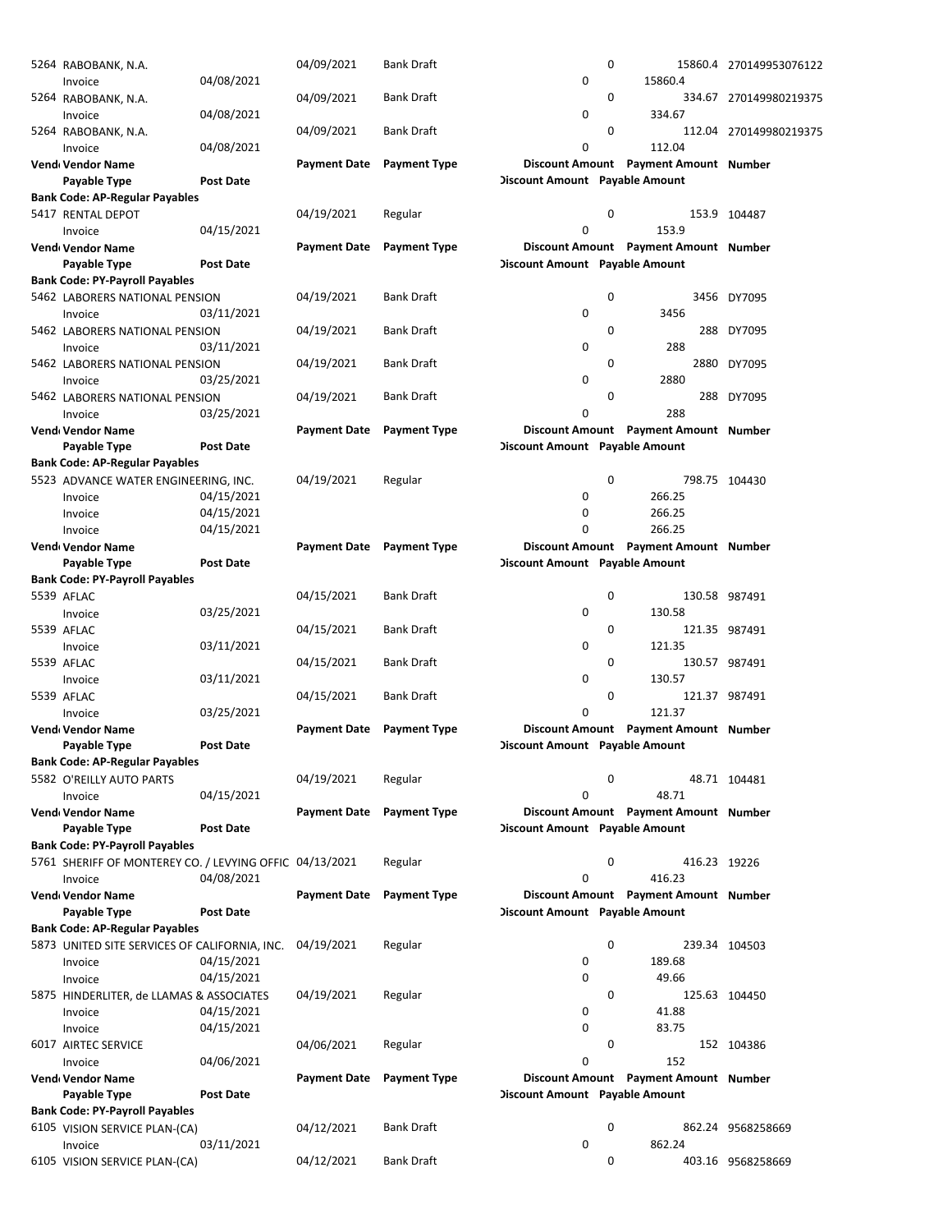| 5264 RABOBANK, N.A.                                     |                  | 04/09/2021                | <b>Bank Draft</b>   |                                | 0           |                                       | 15860.4 270149953076122 |
|---------------------------------------------------------|------------------|---------------------------|---------------------|--------------------------------|-------------|---------------------------------------|-------------------------|
| Invoice                                                 | 04/08/2021       |                           |                     | 0                              |             | 15860.4                               |                         |
| 5264 RABOBANK, N.A.                                     |                  | 04/09/2021                | <b>Bank Draft</b>   |                                | 0           |                                       | 334.67 270149980219375  |
| Invoice                                                 | 04/08/2021       |                           |                     | 0                              |             | 334.67                                |                         |
| 5264 RABOBANK, N.A.                                     |                  | 04/09/2021                | <b>Bank Draft</b>   |                                | 0           |                                       | 112.04 270149980219375  |
| Invoice                                                 | 04/08/2021       |                           |                     | 0                              |             | 112.04                                |                         |
| Vend Vendor Name                                        |                  | <b>Payment Date</b>       | <b>Payment Type</b> |                                |             | Discount Amount Payment Amount Number |                         |
| Payable Type                                            | Post Date        |                           |                     | Discount Amount Payable Amount |             |                                       |                         |
| <b>Bank Code: AP-Regular Payables</b>                   |                  |                           |                     |                                |             |                                       |                         |
| 5417 RENTAL DEPOT                                       |                  | 04/19/2021                | Regular             |                                | 0           |                                       | 153.9 104487            |
| Invoice                                                 | 04/15/2021       |                           |                     | 0                              |             | 153.9                                 |                         |
| Vend Vendor Name                                        |                  | <b>Payment Date</b>       | <b>Payment Type</b> |                                |             | Discount Amount Payment Amount Number |                         |
| Payable Type                                            | Post Date        |                           |                     | Discount Amount Payable Amount |             |                                       |                         |
| <b>Bank Code: PY-Payroll Payables</b>                   |                  |                           |                     |                                |             |                                       |                         |
| 5462 LABORERS NATIONAL PENSION                          |                  | 04/19/2021                | <b>Bank Draft</b>   |                                | 0           |                                       | 3456 DY7095             |
| Invoice                                                 | 03/11/2021       |                           |                     | 0                              |             | 3456                                  |                         |
| 5462 LABORERS NATIONAL PENSION                          |                  | 04/19/2021                | <b>Bank Draft</b>   |                                | 0           |                                       | 288 DY7095              |
| Invoice                                                 | 03/11/2021       |                           |                     | 0                              |             | 288                                   |                         |
| 5462 LABORERS NATIONAL PENSION                          |                  | 04/19/2021                | <b>Bank Draft</b>   |                                | 0           |                                       | 2880 DY7095             |
| Invoice                                                 | 03/25/2021       |                           |                     | 0                              |             | 2880                                  |                         |
| 5462 LABORERS NATIONAL PENSION                          |                  | 04/19/2021                | <b>Bank Draft</b>   |                                | 0           |                                       | 288 DY7095              |
| Invoice                                                 | 03/25/2021       |                           |                     | 0                              |             | 288                                   |                         |
| Vend Vendor Name                                        |                  | <b>Payment Date</b>       | <b>Payment Type</b> |                                |             | Discount Amount Payment Amount Number |                         |
| Payable Type                                            | <b>Post Date</b> |                           |                     | Discount Amount Payable Amount |             |                                       |                         |
| <b>Bank Code: AP-Regular Payables</b>                   |                  |                           |                     |                                |             |                                       |                         |
| 5523 ADVANCE WATER ENGINEERING, INC.                    |                  | 04/19/2021                | Regular             |                                | 0           |                                       | 798.75 104430           |
| Invoice                                                 | 04/15/2021       |                           |                     | 0                              |             | 266.25                                |                         |
| Invoice                                                 | 04/15/2021       |                           |                     | 0                              |             | 266.25                                |                         |
| Invoice                                                 | 04/15/2021       |                           |                     | 0                              |             | 266.25                                |                         |
| Vend Vendor Name                                        |                  | Payment Date Payment Type |                     |                                |             | Discount Amount Payment Amount Number |                         |
| Payable Type                                            | <b>Post Date</b> |                           |                     | Discount Amount Payable Amount |             |                                       |                         |
| <b>Bank Code: PY-Payroll Payables</b>                   |                  |                           |                     |                                |             |                                       |                         |
| 5539 AFLAC                                              |                  | 04/15/2021                | <b>Bank Draft</b>   |                                | 0           |                                       | 130.58 987491           |
| Invoice                                                 | 03/25/2021       |                           |                     | 0                              |             | 130.58                                |                         |
| 5539 AFLAC                                              |                  | 04/15/2021                | <b>Bank Draft</b>   |                                | 0           |                                       | 121.35 987491           |
| Invoice                                                 | 03/11/2021       |                           |                     | 0                              |             | 121.35                                |                         |
| 5539 AFLAC                                              |                  | 04/15/2021                | <b>Bank Draft</b>   |                                | 0           |                                       | 130.57 987491           |
| Invoice                                                 | 03/11/2021       |                           |                     | 0                              |             | 130.57                                |                         |
| 5539 AFLAC                                              |                  | 04/15/2021                | <b>Bank Draft</b>   |                                | 0           |                                       | 121.37 987491           |
| Invoice                                                 | 03/25/2021       |                           |                     | 0                              |             | 121.37                                |                         |
| Vend Vendor Name                                        |                  | Payment Date              | <b>Payment Type</b> |                                |             | Discount Amount Payment Amount Number |                         |
| Payable Type                                            | <b>Post Date</b> |                           |                     | Discount Amount Payable Amount |             |                                       |                         |
| <b>Bank Code: AP-Regular Payables</b>                   |                  |                           |                     |                                |             |                                       |                         |
| 5582 O'REILLY AUTO PARTS                                |                  | 04/19/2021                | Regular             |                                | 0           |                                       | 48.71 104481            |
| Invoice                                                 | 04/15/2021       |                           |                     | 0                              |             | 48.71                                 |                         |
| Vend Vendor Name                                        |                  | <b>Payment Date</b>       | <b>Payment Type</b> |                                |             | Discount Amount Payment Amount Number |                         |
| Payable Type                                            | <b>Post Date</b> |                           |                     | Discount Amount Payable Amount |             |                                       |                         |
| <b>Bank Code: PY-Payroll Payables</b>                   |                  |                           |                     |                                |             |                                       |                         |
| 5761 SHERIFF OF MONTEREY CO. / LEVYING OFFIC 04/13/2021 |                  |                           | Regular             |                                | $\mathbf 0$ | 416.23 19226                          |                         |
| Invoice                                                 | 04/08/2021       |                           |                     | 0                              |             | 416.23                                |                         |
| Vend Vendor Name                                        |                  | <b>Payment Date</b>       | <b>Payment Type</b> |                                |             | Discount Amount Payment Amount Number |                         |
| Payable Type                                            | <b>Post Date</b> |                           |                     | Discount Amount Payable Amount |             |                                       |                         |
| <b>Bank Code: AP-Regular Payables</b>                   |                  |                           |                     |                                |             |                                       |                         |
| 5873 UNITED SITE SERVICES OF CALIFORNIA, INC.           |                  | 04/19/2021                | Regular             |                                | $\mathbf 0$ |                                       | 239.34 104503           |
| Invoice                                                 | 04/15/2021       |                           |                     | 0                              |             | 189.68                                |                         |
| Invoice                                                 | 04/15/2021       |                           |                     | 0                              |             | 49.66                                 |                         |
| 5875 HINDERLITER, de LLAMAS & ASSOCIATES                |                  | 04/19/2021                | Regular             |                                | 0           |                                       | 125.63 104450           |
| Invoice                                                 | 04/15/2021       |                           |                     | 0                              |             | 41.88                                 |                         |
| Invoice                                                 | 04/15/2021       |                           |                     | 0                              |             | 83.75                                 |                         |
| 6017 AIRTEC SERVICE                                     |                  | 04/06/2021                | Regular             |                                | 0           |                                       | 152 104386              |
| Invoice                                                 | 04/06/2021       |                           |                     | 0                              |             | 152                                   |                         |
| Vend Vendor Name                                        |                  | <b>Payment Date</b>       | <b>Payment Type</b> |                                |             | Discount Amount Payment Amount Number |                         |
| Payable Type                                            | <b>Post Date</b> |                           |                     | Discount Amount Payable Amount |             |                                       |                         |
| <b>Bank Code: PY-Payroll Payables</b>                   |                  |                           |                     |                                |             |                                       |                         |
| 6105 VISION SERVICE PLAN-(CA)                           |                  | 04/12/2021                | <b>Bank Draft</b>   |                                | $\mathbf 0$ |                                       | 862.24 9568258669       |
| Invoice                                                 | 03/11/2021       |                           |                     | 0                              |             | 862.24                                |                         |
| 6105 VISION SERVICE PLAN-(CA)                           |                  | 04/12/2021                | <b>Bank Draft</b>   |                                | 0           |                                       | 403.16 9568258669       |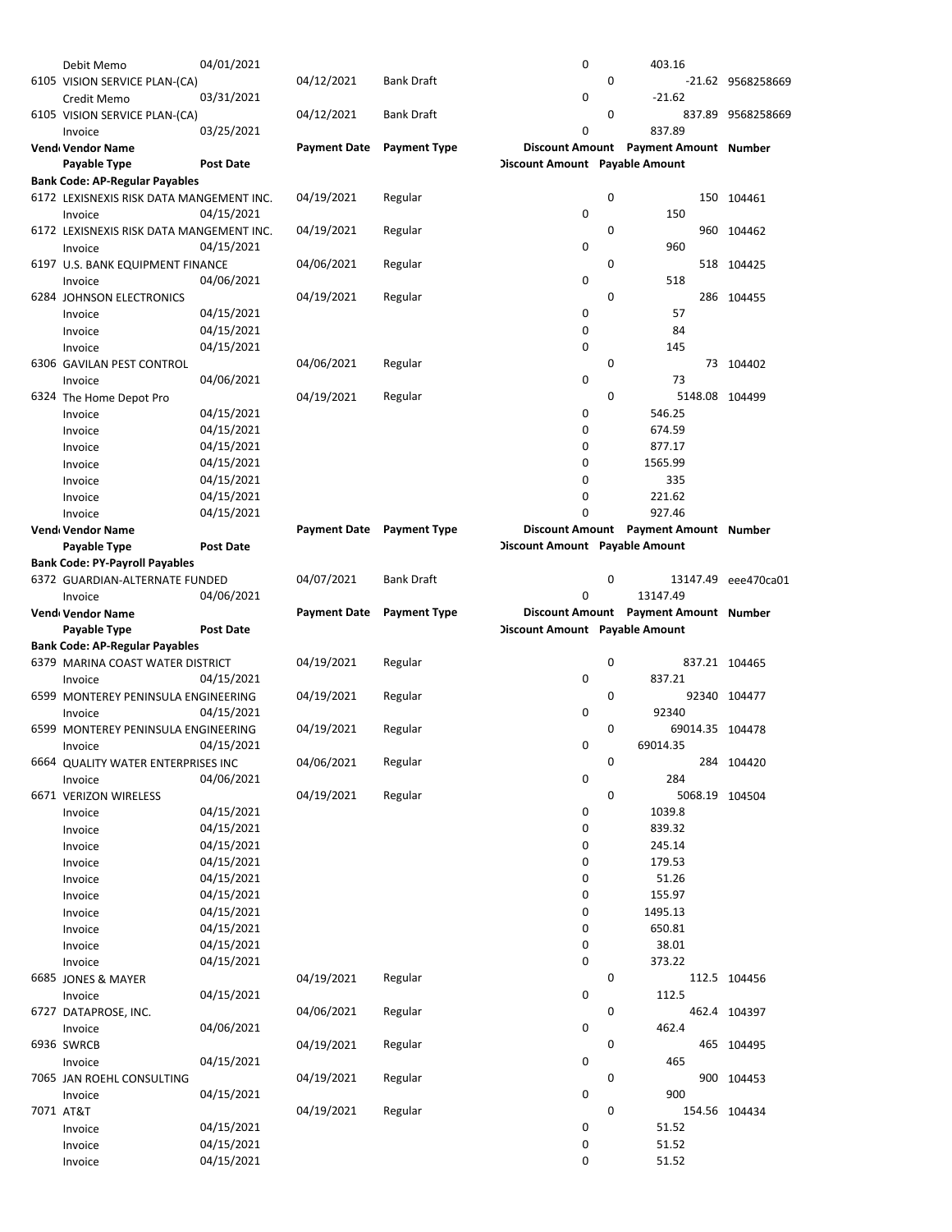| Debit Memo                               | 04/01/2021               |                     |                     | 0                              |             | 403.16                                |                   |
|------------------------------------------|--------------------------|---------------------|---------------------|--------------------------------|-------------|---------------------------------------|-------------------|
| 6105 VISION SERVICE PLAN-(CA)            |                          | 04/12/2021          | <b>Bank Draft</b>   |                                | $\mathbf 0$ |                                       | -21.62 9568258669 |
| Credit Memo                              | 03/31/2021               |                     |                     | 0                              |             | $-21.62$                              |                   |
|                                          |                          |                     | <b>Bank Draft</b>   |                                | $\mathbf 0$ |                                       |                   |
| 6105 VISION SERVICE PLAN-(CA)            |                          | 04/12/2021          |                     |                                |             |                                       | 837.89 9568258669 |
| Invoice                                  | 03/25/2021               |                     |                     | 0                              |             | 837.89                                |                   |
| Vend Vendor Name                         |                          | <b>Payment Date</b> | <b>Payment Type</b> |                                |             | Discount Amount Payment Amount Number |                   |
| Payable Type                             | <b>Post Date</b>         |                     |                     | Discount Amount Payable Amount |             |                                       |                   |
| <b>Bank Code: AP-Regular Payables</b>    |                          |                     |                     |                                |             |                                       |                   |
| 6172 LEXISNEXIS RISK DATA MANGEMENT INC. |                          | 04/19/2021          | Regular             |                                | 0           |                                       | 150 104461        |
|                                          |                          |                     |                     |                                |             |                                       |                   |
| Invoice                                  | 04/15/2021               |                     |                     | 0                              |             | 150                                   |                   |
| 6172 LEXISNEXIS RISK DATA MANGEMENT INC. |                          | 04/19/2021          | Regular             |                                | 0           |                                       | 960 104462        |
| Invoice                                  | 04/15/2021               |                     |                     | 0                              |             | 960                                   |                   |
| 6197 U.S. BANK EQUIPMENT FINANCE         |                          | 04/06/2021          | Regular             |                                | 0           |                                       | 518 104425        |
|                                          |                          |                     |                     | 0                              |             | 518                                   |                   |
| Invoice                                  | 04/06/2021               |                     |                     |                                |             |                                       |                   |
| 6284 JOHNSON ELECTRONICS                 |                          | 04/19/2021          | Regular             |                                | $\mathbf 0$ |                                       | 286 104455        |
| Invoice                                  | 04/15/2021               |                     |                     | 0                              |             | 57                                    |                   |
| Invoice                                  | 04/15/2021               |                     |                     | 0                              |             | 84                                    |                   |
| Invoice                                  | 04/15/2021               |                     |                     | 0                              |             | 145                                   |                   |
| 6306 GAVILAN PEST CONTROL                |                          | 04/06/2021          |                     |                                | $\mathbf 0$ |                                       | 73 104402         |
|                                          |                          |                     | Regular             |                                |             |                                       |                   |
| Invoice                                  | 04/06/2021               |                     |                     | 0                              |             | 73                                    |                   |
| 6324 The Home Depot Pro                  |                          | 04/19/2021          | Regular             |                                | 0           |                                       | 5148.08 104499    |
| Invoice                                  | 04/15/2021               |                     |                     | 0                              |             | 546.25                                |                   |
| Invoice                                  | 04/15/2021               |                     |                     | 0                              |             | 674.59                                |                   |
|                                          | 04/15/2021               |                     |                     | 0                              |             | 877.17                                |                   |
| Invoice                                  |                          |                     |                     |                                |             |                                       |                   |
| Invoice                                  | 04/15/2021               |                     |                     | 0                              |             | 1565.99                               |                   |
| Invoice                                  | 04/15/2021               |                     |                     | 0                              |             | 335                                   |                   |
| Invoice                                  | 04/15/2021               |                     |                     | 0                              |             | 221.62                                |                   |
| Invoice                                  | 04/15/2021               |                     |                     | $\Omega$                       |             | 927.46                                |                   |
|                                          |                          |                     |                     |                                |             |                                       |                   |
| Vend Vendor Name                         |                          | <b>Payment Date</b> | <b>Payment Type</b> |                                |             | Discount Amount Payment Amount Number |                   |
| Payable Type                             | <b>Post Date</b>         |                     |                     | Discount Amount Payable Amount |             |                                       |                   |
| <b>Bank Code: PY-Payroll Payables</b>    |                          |                     |                     |                                |             |                                       |                   |
| 6372 GUARDIAN-ALTERNATE FUNDED           |                          | 04/07/2021          | <b>Bank Draft</b>   |                                | 0           | 13147.49                              | eee470ca01        |
| Invoice                                  | 04/06/2021               |                     |                     | 0                              |             | 13147.49                              |                   |
|                                          |                          | <b>Payment Date</b> | <b>Payment Type</b> |                                |             |                                       |                   |
|                                          |                          |                     |                     |                                |             |                                       |                   |
| Vend Vendor Name                         |                          |                     |                     |                                |             | Discount Amount Payment Amount Number |                   |
| Payable Type                             | <b>Post Date</b>         |                     |                     | Discount Amount Payable Amount |             |                                       |                   |
| <b>Bank Code: AP-Regular Payables</b>    |                          |                     |                     |                                |             |                                       |                   |
| 6379 MARINA COAST WATER DISTRICT         |                          | 04/19/2021          | Regular             |                                | 0           |                                       | 837.21 104465     |
| Invoice                                  |                          |                     |                     | 0                              |             | 837.21                                |                   |
|                                          | 04/15/2021               |                     |                     |                                |             |                                       |                   |
| 6599 MONTEREY PENINSULA ENGINEERING      |                          | 04/19/2021          | Regular             |                                | 0           |                                       | 92340 104477      |
| Invoice                                  | 04/15/2021               |                     |                     | 0                              |             | 92340                                 |                   |
| 6599 MONTEREY PENINSULA ENGINEERING      |                          | 04/19/2021          | Regular             |                                | 0           | 69014.35 104478                       |                   |
| Invoice                                  | 04/15/2021               |                     |                     | 0                              |             | 69014.35                              |                   |
|                                          |                          |                     |                     |                                |             |                                       |                   |
| 6664 QUALITY WATER ENTERPRISES INC       |                          | 04/06/2021          | Regular             |                                | 0           |                                       | 284 104420        |
| Invoice                                  | 04/06/2021               |                     |                     | 0                              |             | 284                                   |                   |
| 6671 VERIZON WIRELESS                    |                          | 04/19/2021          | Regular             |                                | 0           |                                       | 5068.19 104504    |
| Invoice                                  | 04/15/2021               |                     |                     | 0                              |             | 1039.8                                |                   |
| Invoice                                  | 04/15/2021               |                     |                     | 0                              |             | 839.32                                |                   |
| Invoice                                  | 04/15/2021               |                     |                     | 0                              |             | 245.14                                |                   |
|                                          |                          |                     |                     |                                |             |                                       |                   |
| Invoice                                  | 04/15/2021               |                     |                     | 0                              |             | 179.53                                |                   |
| Invoice                                  | 04/15/2021               |                     |                     | 0                              |             | 51.26                                 |                   |
| Invoice                                  | 04/15/2021               |                     |                     | 0                              |             | 155.97                                |                   |
| Invoice                                  | 04/15/2021               |                     |                     | 0                              |             | 1495.13                               |                   |
| Invoice                                  | 04/15/2021               |                     |                     | 0                              |             | 650.81                                |                   |
|                                          |                          |                     |                     |                                |             |                                       |                   |
| Invoice                                  | 04/15/2021               |                     |                     | 0                              |             | 38.01                                 |                   |
| Invoice                                  | 04/15/2021               |                     |                     | 0                              |             | 373.22                                |                   |
| 6685 JONES & MAYER                       |                          | 04/19/2021          | Regular             |                                | 0           |                                       | 112.5 104456      |
| Invoice                                  | 04/15/2021               |                     |                     | 0                              |             | 112.5                                 |                   |
| 6727 DATAPROSE, INC.                     |                          | 04/06/2021          | Regular             |                                | 0           |                                       | 462.4 104397      |
|                                          |                          |                     |                     |                                |             |                                       |                   |
| Invoice                                  | 04/06/2021               |                     |                     | 0                              |             | 462.4                                 |                   |
| 6936 SWRCB                               |                          | 04/19/2021          | Regular             |                                | 0           |                                       | 465 104495        |
| Invoice                                  | 04/15/2021               |                     |                     | 0                              |             | 465                                   |                   |
| 7065 JAN ROEHL CONSULTING                |                          | 04/19/2021          | Regular             |                                | 0           |                                       | 900 104453        |
| Invoice                                  | 04/15/2021               |                     |                     | 0                              |             | 900                                   |                   |
|                                          |                          |                     |                     |                                | 0           |                                       |                   |
| 7071 AT&T                                |                          | 04/19/2021          | Regular             |                                |             |                                       | 154.56 104434     |
| Invoice                                  | 04/15/2021               |                     |                     | 0                              |             | 51.52                                 |                   |
| Invoice<br>Invoice                       | 04/15/2021<br>04/15/2021 |                     |                     | 0<br>0                         |             | 51.52<br>51.52                        |                   |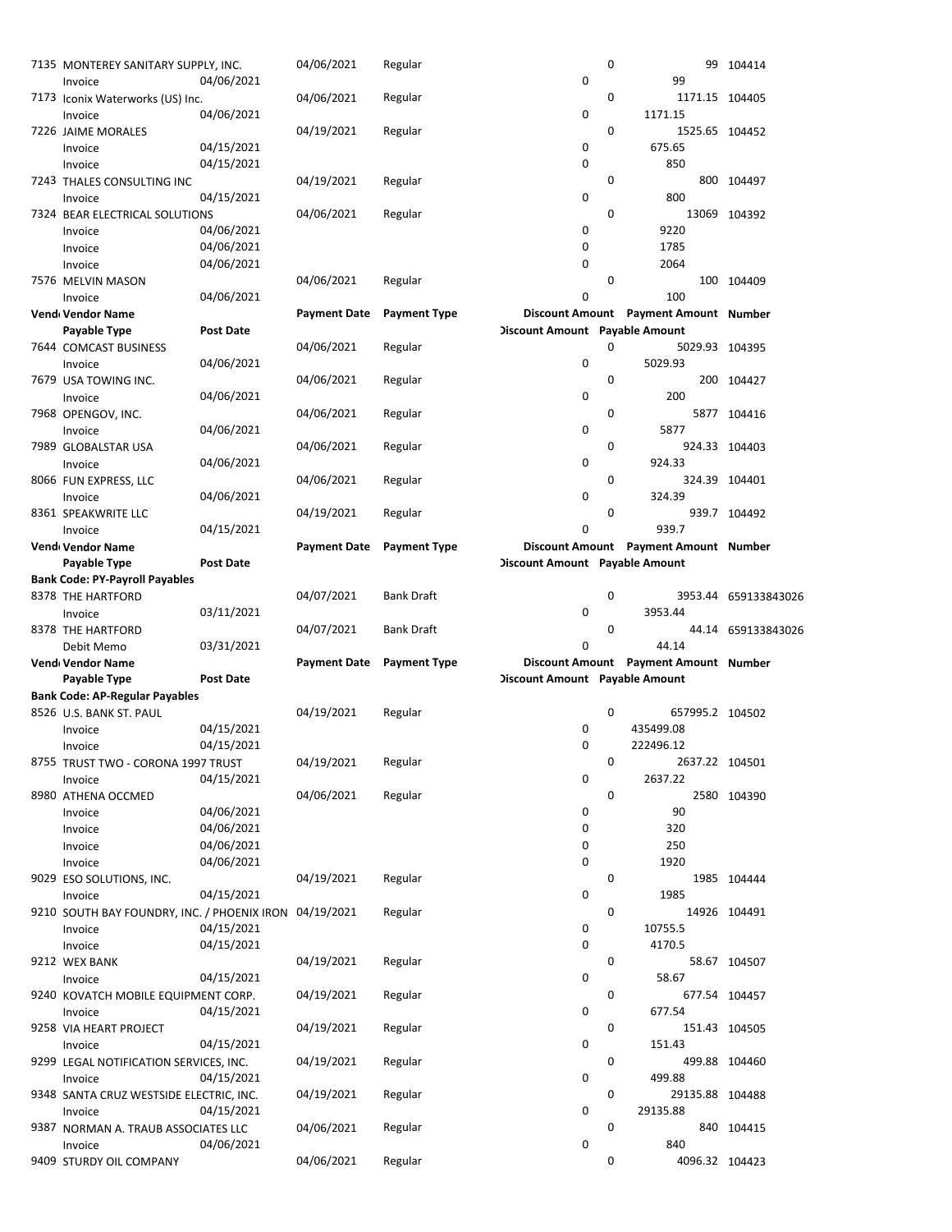| 7135 MONTEREY SANITARY SUPPLY, INC.         |                  | 04/06/2021                | Regular             |                                | 0           |                                       | 99 104414            |
|---------------------------------------------|------------------|---------------------------|---------------------|--------------------------------|-------------|---------------------------------------|----------------------|
| Invoice                                     | 04/06/2021       |                           |                     | 0                              |             | 99                                    |                      |
| 7173 Iconix Waterworks (US) Inc.            |                  | 04/06/2021                | Regular             |                                | 0           | 1171.15 104405                        |                      |
| Invoice                                     | 04/06/2021       |                           |                     | $\mathbf 0$                    |             | 1171.15                               |                      |
| 7226 JAIME MORALES                          |                  | 04/19/2021                | Regular             |                                | $\mathbf 0$ | 1525.65 104452                        |                      |
| Invoice                                     | 04/15/2021       |                           |                     | 0                              |             | 675.65                                |                      |
| Invoice                                     | 04/15/2021       |                           |                     | $\mathbf 0$                    |             | 850                                   |                      |
| 7243 THALES CONSULTING INC                  |                  | 04/19/2021                | Regular             |                                | 0           |                                       | 800 104497           |
|                                             | 04/15/2021       |                           |                     | 0                              |             | 800                                   |                      |
| Invoice                                     |                  |                           |                     |                                |             |                                       |                      |
| 7324 BEAR ELECTRICAL SOLUTIONS              |                  | 04/06/2021                | Regular             |                                | 0           |                                       | 13069 104392         |
| Invoice                                     | 04/06/2021       |                           |                     | 0                              |             | 9220                                  |                      |
| Invoice                                     | 04/06/2021       |                           |                     | $\mathbf 0$                    |             | 1785                                  |                      |
| Invoice                                     | 04/06/2021       |                           |                     | $\mathbf 0$                    |             | 2064                                  |                      |
| 7576 MELVIN MASON                           |                  | 04/06/2021                | Regular             |                                | $\mathbf 0$ |                                       | 100 104409           |
| Invoice                                     | 04/06/2021       |                           |                     | $\mathbf 0$                    |             | 100                                   |                      |
| Vend Vendor Name                            |                  | <b>Payment Date</b>       | <b>Payment Type</b> |                                |             | Discount Amount Payment Amount Number |                      |
| Payable Type                                | <b>Post Date</b> |                           |                     | Discount Amount Payable Amount |             |                                       |                      |
| 7644 COMCAST BUSINESS                       |                  | 04/06/2021                | Regular             |                                | 0           | 5029.93 104395                        |                      |
| Invoice                                     | 04/06/2021       |                           |                     | 0                              |             | 5029.93                               |                      |
| 7679 USA TOWING INC.                        |                  | 04/06/2021                | Regular             |                                | 0           |                                       | 200 104427           |
| Invoice                                     | 04/06/2021       |                           |                     | 0                              |             | 200                                   |                      |
| 7968 OPENGOV, INC.                          |                  | 04/06/2021                | Regular             |                                | 0           |                                       | 5877 104416          |
| Invoice                                     | 04/06/2021       |                           |                     | 0                              |             | 5877                                  |                      |
| 7989 GLOBALSTAR USA                         |                  | 04/06/2021                | Regular             |                                | 0           |                                       | 924.33 104403        |
|                                             |                  |                           |                     | 0                              |             | 924.33                                |                      |
| Invoice                                     | 04/06/2021       |                           |                     |                                |             |                                       |                      |
| 8066 FUN EXPRESS, LLC                       |                  | 04/06/2021                | Regular             |                                | 0           |                                       | 324.39 104401        |
| Invoice                                     | 04/06/2021       |                           |                     | 0                              |             | 324.39                                |                      |
| 8361 SPEAKWRITE LLC                         |                  | 04/19/2021                | Regular             |                                | 0           |                                       | 939.7 104492         |
| Invoice                                     | 04/15/2021       |                           |                     | 0                              |             | 939.7                                 |                      |
| Vend Vendor Name                            |                  | Payment Date Payment Type |                     |                                |             | Discount Amount Payment Amount Number |                      |
| Payable Type                                | Post Date        |                           |                     | Discount Amount Payable Amount |             |                                       |                      |
| <b>Bank Code: PY-Payroll Payables</b>       |                  |                           |                     |                                |             |                                       |                      |
| 8378 THE HARTFORD                           |                  | 04/07/2021                | <b>Bank Draft</b>   |                                | 0           |                                       | 3953.44 659133843026 |
|                                             |                  |                           |                     |                                |             |                                       |                      |
| Invoice                                     | 03/11/2021       |                           |                     | 0                              |             | 3953.44                               |                      |
| 8378 THE HARTFORD                           |                  | 04/07/2021                | <b>Bank Draft</b>   |                                | 0           |                                       | 44.14 659133843026   |
|                                             |                  |                           |                     | 0                              |             | 44.14                                 |                      |
| Debit Memo                                  | 03/31/2021       |                           |                     |                                |             |                                       |                      |
| Vend Vendor Name                            |                  | <b>Payment Date</b>       | <b>Payment Type</b> |                                |             | Discount Amount Payment Amount Number |                      |
| Payable Type                                | <b>Post Date</b> |                           |                     | Discount Amount Payable Amount |             |                                       |                      |
| <b>Bank Code: AP-Regular Payables</b>       |                  |                           |                     |                                |             |                                       |                      |
| 8526 U.S. BANK ST. PAUL                     |                  | 04/19/2021                | Regular             |                                | 0           | 657995.2 104502                       |                      |
| Invoice                                     | 04/15/2021       |                           |                     | 0                              |             | 435499.08                             |                      |
| Invoice                                     | 04/15/2021       |                           |                     | 0                              |             | 222496.12                             |                      |
| 8755 TRUST TWO - CORONA 1997 TRUST          |                  | 04/19/2021                | Regular             |                                | 0           | 2637.22 104501                        |                      |
| Invoice                                     | 04/15/2021       |                           |                     | 0                              |             | 2637.22                               |                      |
| 8980 ATHENA OCCMED                          |                  | 04/06/2021                | Regular             |                                | 0           |                                       | 2580 104390          |
| Invoice                                     | 04/06/2021       |                           |                     | 0                              |             | 90                                    |                      |
| Invoice                                     | 04/06/2021       |                           |                     | 0                              |             | 320                                   |                      |
| Invoice                                     | 04/06/2021       |                           |                     | 0                              |             | 250                                   |                      |
| Invoice                                     | 04/06/2021       |                           |                     | 0                              |             | 1920                                  |                      |
| 9029 ESO SOLUTIONS, INC.                    |                  | 04/19/2021                | Regular             |                                | 0           |                                       | 1985 104444          |
| Invoice                                     | 04/15/2021       |                           |                     | 0                              |             | 1985                                  |                      |
| 9210 SOUTH BAY FOUNDRY, INC. / PHOENIX IRON |                  | 04/19/2021                | Regular             |                                | 0           |                                       | 14926 104491         |
| Invoice                                     | 04/15/2021       |                           |                     | 0                              |             | 10755.5                               |                      |
| Invoice                                     |                  |                           |                     | 0                              |             | 4170.5                                |                      |
|                                             | 04/15/2021       |                           |                     |                                | 0           |                                       |                      |
| 9212 WEX BANK                               |                  | 04/19/2021                | Regular             |                                |             |                                       | 58.67 104507         |
| Invoice                                     | 04/15/2021       |                           |                     | 0                              |             | 58.67                                 |                      |
| 9240 KOVATCH MOBILE EQUIPMENT CORP.         |                  | 04/19/2021                | Regular             |                                | 0           |                                       | 677.54 104457        |
| Invoice                                     | 04/15/2021       |                           |                     | 0                              |             | 677.54                                |                      |
| 9258 VIA HEART PROJECT                      |                  | 04/19/2021                | Regular             |                                | 0           |                                       | 151.43 104505        |
| Invoice                                     | 04/15/2021       |                           |                     | 0                              |             | 151.43                                |                      |
| 9299 LEGAL NOTIFICATION SERVICES, INC.      |                  | 04/19/2021                | Regular             |                                | 0           | 499.88 104460                         |                      |
| Invoice                                     | 04/15/2021       |                           |                     | 0                              |             | 499.88                                |                      |
| 9348 SANTA CRUZ WESTSIDE ELECTRIC, INC.     |                  | 04/19/2021                | Regular             |                                | 0           | 29135.88 104488                       |                      |
| Invoice                                     | 04/15/2021       |                           |                     | 0                              |             | 29135.88                              |                      |
| 9387 NORMAN A. TRAUB ASSOCIATES LLC         |                  | 04/06/2021                | Regular             |                                | 0           |                                       | 840 104415           |
| Invoice<br>9409 STURDY OIL COMPANY          | 04/06/2021       | 04/06/2021                | Regular             | 0                              | 0           | 840<br>4096.32 104423                 |                      |